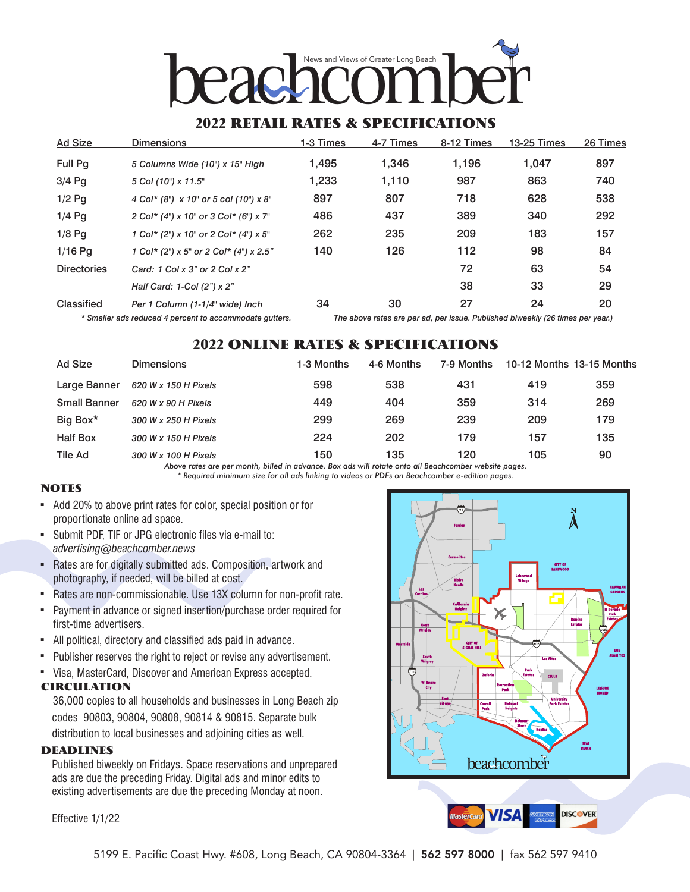

### 2022 RETAIL RATES & SPECIFICATIONS

| <b>Ad Size</b>     | <b>Dimensions</b>                                       | 1-3 Times | 4-7 Times | 8-12 Times | 13-25 Times                                                                 | 26 Times |
|--------------------|---------------------------------------------------------|-----------|-----------|------------|-----------------------------------------------------------------------------|----------|
| <b>Full Pq</b>     | 5 Columns Wide (10") x 15" High                         | 1,495     | 1,346     | 1,196      | 1.047                                                                       | 897      |
| $3/4$ Pq           | 5 Col (10") x 11.5"                                     | 1,233     | 1,110     | 987        | 863                                                                         | 740      |
| $1/2$ Pq           | 4 Col* (8") x 10" or 5 col (10") x 8"                   | 897       | 807       | 718        | 628                                                                         | 538      |
| $1/4$ Pq           | 2 Col* (4") x 10" or 3 Col* (6") x 7"                   | 486       | 437       | 389        | 340                                                                         | 292      |
| $1/8$ Pq           | 1 Col* (2") x 10" or 2 Col* (4") x 5"                   | 262       | 235       | 209        | 183                                                                         | 157      |
| $1/16$ Pa          | 1 Col* (2") x 5" or 2 Col* (4") x 2.5"                  | 140       | 126       | 112        | 98                                                                          | 84       |
| <b>Directories</b> | Card: 1 Col x 3" or 2 Col x 2"                          |           |           | 72         | 63                                                                          | 54       |
|                    | Half Card: 1-Col (2") x 2"                              |           |           | 38         | 33                                                                          | 29       |
| Classified         | Per 1 Column (1-1/4" wide) Inch                         | 34        | 30        | 27         | 24                                                                          | 20       |
|                    | * Cmaller ada reduced 1 norsent to coopmmodate quitters |           |           |            | The above rates are nor ad nor journ Dublished biweekly (28 times nor vear) |          |

*\* Smaller ads reduced 4 percent to accommodate gutters. The above rates are per ad, per issue. Published biweekly (26 times per year.)*

# 2022 ONLINE RATES & SPECIFICATIONS

| Ad Size             | <b>Dimensions</b>    | 1-3 Months | 4-6 Months | 7-9 Months                        |     | 10-12 Months 13-15 Months |
|---------------------|----------------------|------------|------------|-----------------------------------|-----|---------------------------|
| Large Banner        | 620 W x 150 H Pixels | 598        | 538        | 431                               | 419 | 359                       |
| <b>Small Banner</b> | 620 W x 90 H Pixels  | 449        | 404        | 359                               | 314 | 269                       |
| Big Box*            | 300 W x 250 H Pixels | 299        | 269        | 239                               | 209 | 179                       |
| <b>Half Box</b>     | 300 W x 150 H Pixels | 224        | 202        | 179                               | 157 | 135                       |
| Tile Ad             | 300 W x 100 H Pixels | 150        | 135        | 120<br>$\cdots$ $\cdots$ $\cdots$ | 105 | 90                        |

*Above rates are per month, billed in advance. Box ads will rotate onto all Beachcomber website pages. \* Required minimum size for all ads linking to videos or PDFs on Beachcomber e-edition pages.*

#### **NOTES**

- , Add 20% to above print rates for color, special position or for proportionate online ad space.
- , Submit PDF, TIF or JPG electronic files via e-mail to: *advertising@beachcomber.news*
- Rates are for digitally submitted ads. Composition, artwork and photography, if needed, will be billed at cost.
- , Rates are non-commissionable. Use 13X column for non-profit rate.
- Payment in advance or signed insertion/purchase order required for first-time advertisers.
- , All political, directory and classified ads paid in advance.
- , Publisher reserves the right to reject or revise any advertisement.
- , Visa, MasterCard, Discover and American Express accepted.

#### CIRCULATION

36,000 copies to all households and businesses in Long Beach zip codes 90803, 90804, 90808, 90814 & 90815. Separate bulk distribution to local businesses and adjoining cities as well.

#### DEADLINES

Published biweekly on Fridays. Space reservations and unprepared ads are due the preceding Friday. Digital ads and minor edits to existing advertisements are due the preceding Monday at noon.

Effective 1/1/22